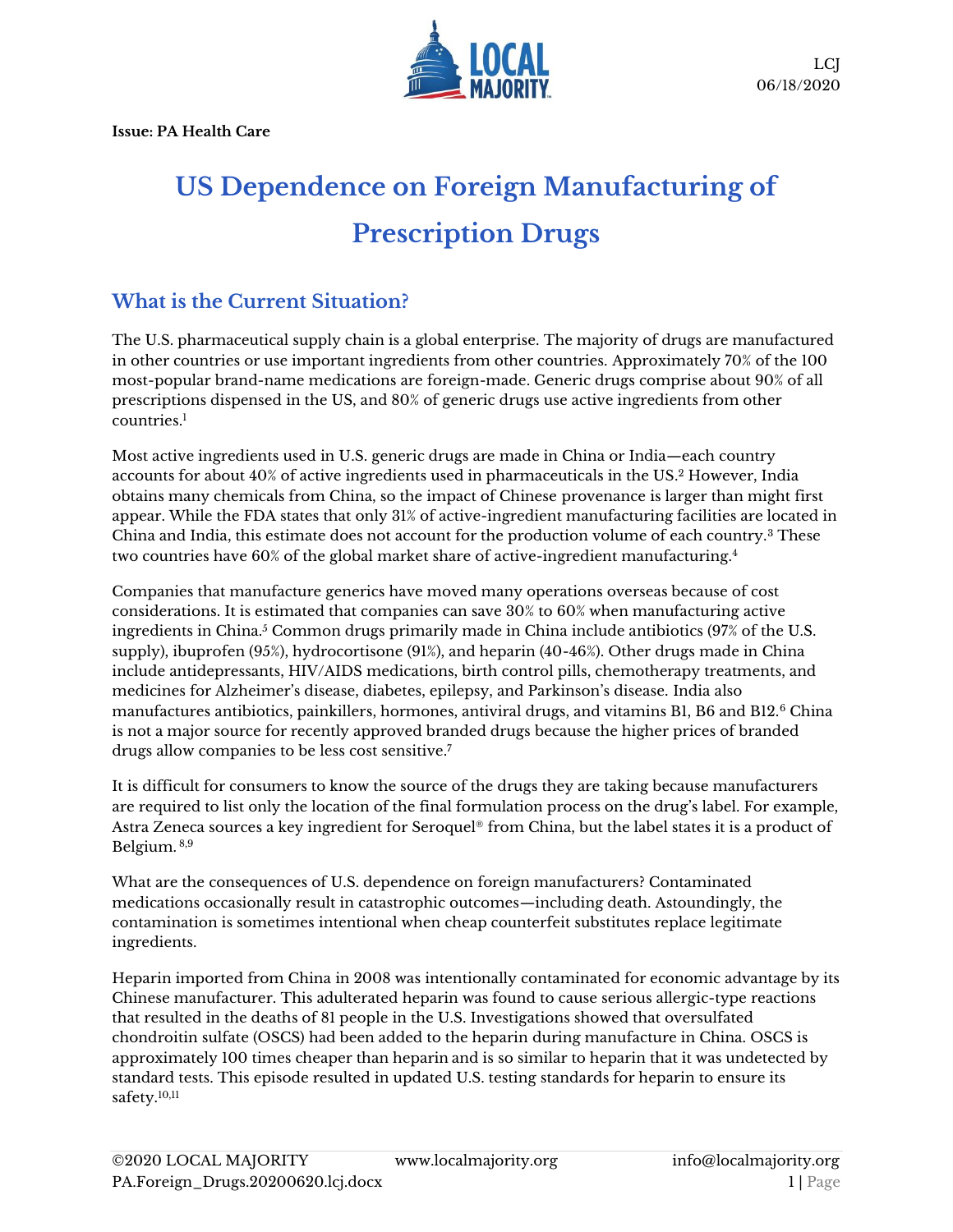**Issue: PA Health Care**



## **US Dependence on Foreign Manufacturing of Prescription Drugs**

## **What is the Current Situation?**

The U.S. pharmaceutical supply chain is a global enterprise. The majority of drugs are manufactured in other countries or use important ingredients from other countries. Approximately 70% of the 100 most-popular brand-name medications are foreign-made. Generic drugs comprise about 90% of all prescriptions dispensed in the US, and 80% of generic drugs use active ingredients from other countries.<sup>1</sup>

Most active ingredients used in U.S. generic drugs are made in China or India—each country accounts for about 40% of active ingredients used in pharmaceuticals in the US. <sup>2</sup> However, India obtains many chemicals from China, so the impact of Chinese provenance is larger than might first appear. While the FDA states that only 31% of active-ingredient manufacturing facilities are located in China and India, this estimate does not account for the production volume of each country.<sup>3</sup> These two countries have 60% of the global market share of active-ingredient manufacturing.<sup>4</sup>

Companies that manufacture generics have moved many operations overseas because of cost considerations. It is estimated that companies can save 30% to 60% when manufacturing active ingredients in China.<sup>5</sup> Common drugs primarily made in China include antibiotics (97% of the U.S. supply), ibuprofen (95%), hydrocortisone (91%), and heparin (40-46%). Other drugs made in China include antidepressants, HIV/AIDS medications, birth control pills, chemotherapy treatments, and medicines for Alzheimer's disease, diabetes, epilepsy, and Parkinson's disease. India also manufactures antibiotics, painkillers, hormones, antiviral drugs, and vitamins B1, B6 and B12.<sup>6</sup> China is not a major source for recently approved branded drugs because the higher prices of branded drugs allow companies to be less cost sensitive.<sup>7</sup>

It is difficult for consumers to know the source of the drugs they are taking because manufacturers are required to list only the location of the final formulation process on the drug's label. For example, Astra Zeneca sources a key ingredient for Seroquel® from China, but the label states it is a product of Belgium. 8,9

What are the consequences of U.S. dependence on foreign manufacturers? Contaminated medications occasionally result in catastrophic outcomes—including death. Astoundingly, the contamination is sometimes intentional when cheap counterfeit substitutes replace legitimate ingredients.

Heparin imported from China in 2008 was intentionally contaminated for economic advantage by its Chinese manufacturer. This adulterated heparin was found to cause serious allergic-type reactions that resulted in the deaths of 81 people in the U.S. Investigations showed that oversulfated chondroitin sulfate (OSCS) had been added to the heparin during manufacture in China. OSCS is approximately 100 times cheaper than heparin and is so similar to heparin that it was undetected by standard tests. This episode resulted in updated U.S. testing standards for heparin to ensure its safety.<sup>10,11</sup>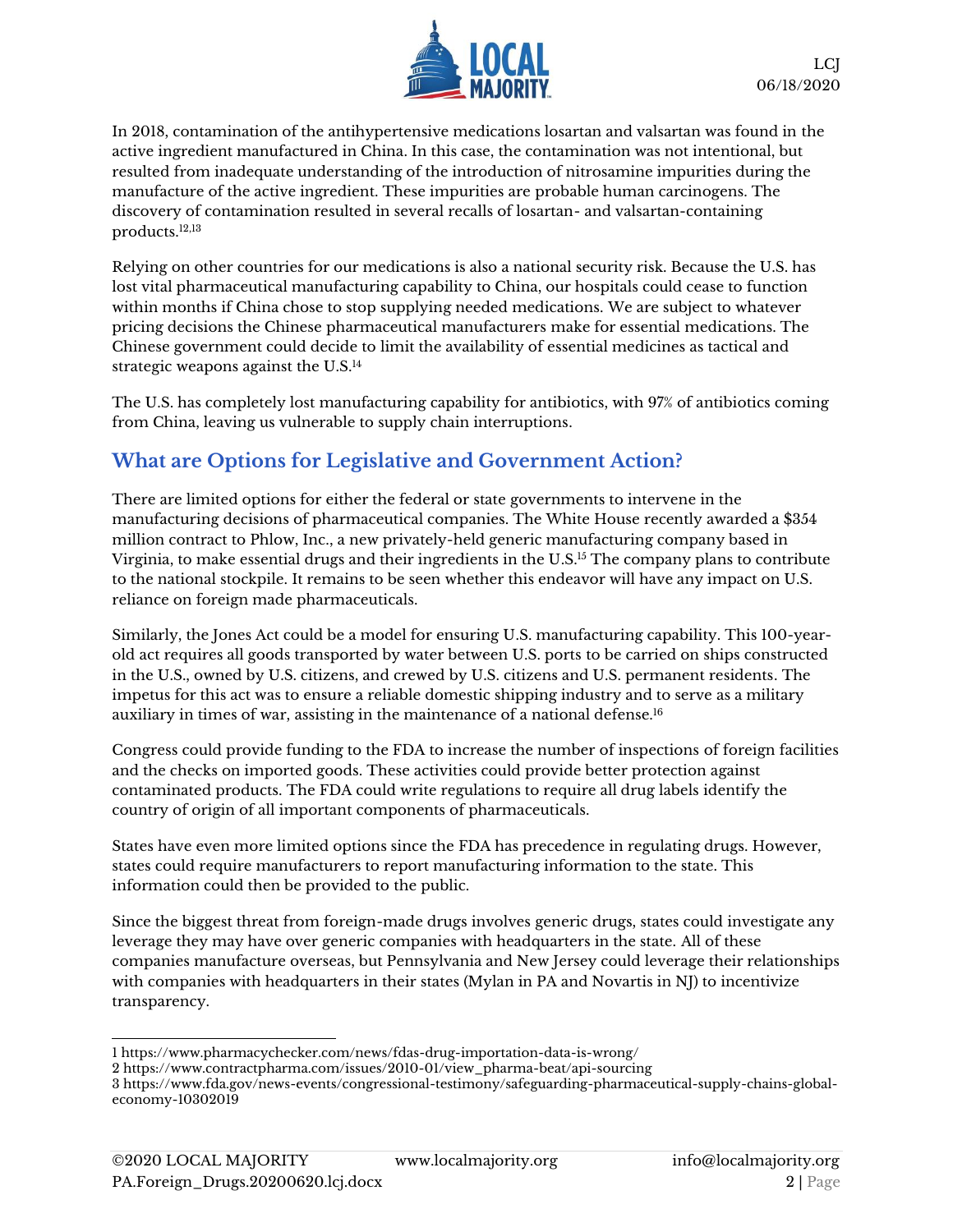

In 2018, contamination of the antihypertensive medications losartan and valsartan was found in the active ingredient manufactured in China. In this case, the contamination was not intentional, but resulted from inadequate understanding of the introduction of nitrosamine impurities during the manufacture of the active ingredient. These impurities are probable human carcinogens. The discovery of contamination resulted in several recalls of losartan- and valsartan-containing products.12,13

Relying on other countries for our medications is also a national security risk. Because the U.S. has lost vital pharmaceutical manufacturing capability to China, our hospitals could cease to function within months if China chose to stop supplying needed medications. We are subject to whatever pricing decisions the Chinese pharmaceutical manufacturers make for essential medications. The Chinese government could decide to limit the availability of essential medicines as tactical and strategic weapons against the U.S.<sup>14</sup>

The U.S. has completely lost manufacturing capability for antibiotics, with 97% of antibiotics coming from China, leaving us vulnerable to supply chain interruptions.

## **What are Options for Legislative and Government Action?**

There are limited options for either the federal or state governments to intervene in the manufacturing decisions of pharmaceutical companies. The White House recently awarded a \$354 million contract to Phlow, Inc., a new privately-held generic manufacturing company based in Virginia, to make essential drugs and their ingredients in the U.S.<sup>15</sup> The company plans to contribute to the national stockpile. It remains to be seen whether this endeavor will have any impact on U.S. reliance on foreign made pharmaceuticals.

Similarly, the Jones Act could be a model for ensuring U.S. manufacturing capability. This 100-yearold act requires all goods transported by water between U.S. ports to be carried on ships constructed in the U.S., owned by U.S. citizens, and crewed by U.S. citizens and U.S. permanent residents. The impetus for this act was to ensure a reliable domestic shipping industry and to serve as a military auxiliary in times of war, assisting in the maintenance of a national defense.<sup>16</sup>

Congress could provide funding to the FDA to increase the number of inspections of foreign facilities and the checks on imported goods. These activities could provide better protection against contaminated products. The FDA could write regulations to require all drug labels identify the country of origin of all important components of pharmaceuticals.

States have even more limited options since the FDA has precedence in regulating drugs. However, states could require manufacturers to report manufacturing information to the state. This information could then be provided to the public.

Since the biggest threat from foreign-made drugs involves generic drugs, states could investigate any leverage they may have over generic companies with headquarters in the state. All of these companies manufacture overseas, but Pennsylvania and New Jersey could leverage their relationships with companies with headquarters in their states (Mylan in PA and Novartis in NJ) to incentivize transparency.

1 <https://www.pharmacychecker.com/news/fdas-drug-importation-data-is-wrong/>

<sup>2</sup> [https://www.contractpharma.com/issues/2010-01/view\\_pharma-beat/api-sourcing](https://www.contractpharma.com/issues/2010-01/view_pharma-beat/api-sourcing)

<sup>3</sup> [https://www.fda.gov/news-events/congressional-testimony/safeguarding-pharmaceutical-supply-chains-global](https://www.fda.gov/news-events/congressional-testimony/safeguarding-pharmaceutical-supply-chains-global-economy-10302019)[economy-10302019](https://www.fda.gov/news-events/congressional-testimony/safeguarding-pharmaceutical-supply-chains-global-economy-10302019)